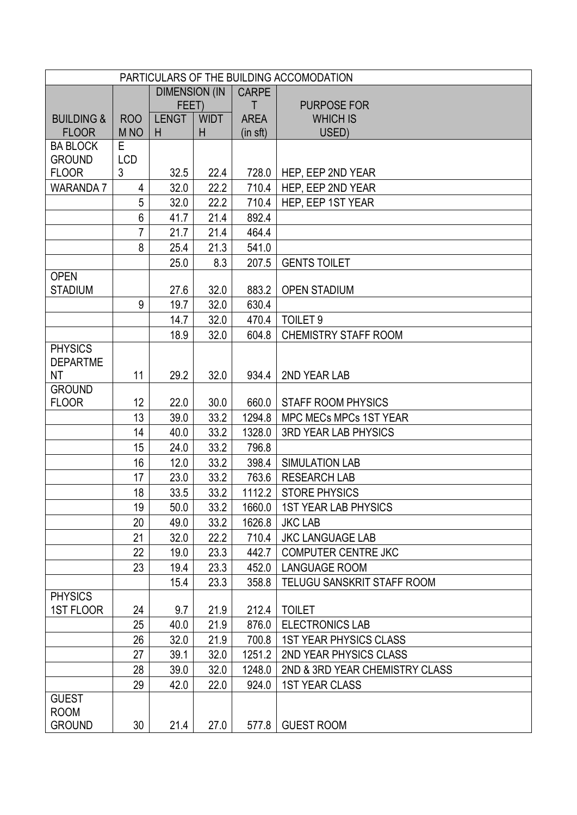| PARTICULARS OF THE BUILDING ACCOMODATION |                 |                       |             |              |                                   |  |  |  |
|------------------------------------------|-----------------|-----------------------|-------------|--------------|-----------------------------------|--|--|--|
|                                          |                 | <b>DIMENSION (IN)</b> |             | <b>CARPE</b> |                                   |  |  |  |
|                                          |                 | FEET)                 |             | T            | <b>PURPOSE FOR</b>                |  |  |  |
| <b>BUILDING &amp;</b>                    | <b>ROO</b>      | <b>LENGT</b>          | <b>WIDT</b> | <b>AREA</b>  | <b>WHICH IS</b>                   |  |  |  |
| <b>FLOOR</b>                             | M <sub>NO</sub> | H                     | H           | (in sft)     | USED)                             |  |  |  |
| <b>BA BLOCK</b>                          | E.              |                       |             |              |                                   |  |  |  |
| <b>GROUND</b>                            | <b>LCD</b><br>3 | 32.5                  |             | 728.0        |                                   |  |  |  |
| <b>FLOOR</b>                             |                 |                       | 22.4        |              | HEP, EEP 2ND YEAR                 |  |  |  |
| <b>WARANDA 7</b>                         | 4               | 32.0                  | 22.2        | 710.4        | HEP, EEP 2ND YEAR                 |  |  |  |
|                                          | 5               | 32.0                  | 22.2        | 710.4        | HEP, EEP 1ST YEAR                 |  |  |  |
|                                          | 6               | 41.7                  | 21.4        | 892.4        |                                   |  |  |  |
|                                          | $\overline{7}$  | 21.7                  | 21.4        | 464.4        |                                   |  |  |  |
|                                          | 8               | 25.4                  | 21.3        | 541.0        |                                   |  |  |  |
|                                          |                 | 25.0                  | 8.3         | 207.5        | <b>GENTS TOILET</b>               |  |  |  |
| <b>OPEN</b><br><b>STADIUM</b>            |                 | 27.6                  | 32.0        | 883.2        | <b>OPEN STADIUM</b>               |  |  |  |
|                                          | 9               | 19.7                  | 32.0        | 630.4        |                                   |  |  |  |
|                                          |                 | 14.7                  | 32.0        | 470.4        | TOILET <sub>9</sub>               |  |  |  |
|                                          |                 | 18.9                  | 32.0        | 604.8        | <b>CHEMISTRY STAFF ROOM</b>       |  |  |  |
| <b>PHYSICS</b>                           |                 |                       |             |              |                                   |  |  |  |
| <b>DEPARTME</b>                          |                 |                       |             |              |                                   |  |  |  |
| NT                                       | 11              | 29.2                  | 32.0        | 934.4        | 2ND YEAR LAB                      |  |  |  |
| <b>GROUND</b>                            |                 |                       |             |              |                                   |  |  |  |
| <b>FLOOR</b>                             | 12              | 22.0                  | 30.0        | 660.0        | <b>STAFF ROOM PHYSICS</b>         |  |  |  |
|                                          | 13              | 39.0                  | 33.2        | 1294.8       | MPC MECs MPCs 1ST YEAR            |  |  |  |
|                                          | 14              | 40.0                  | 33.2        | 1328.0       | <b>3RD YEAR LAB PHYSICS</b>       |  |  |  |
|                                          | 15              | 24.0                  | 33.2        | 796.8        |                                   |  |  |  |
|                                          | 16              | 12.0                  | 33.2        | 398.4        | <b>SIMULATION LAB</b>             |  |  |  |
|                                          | 17              | 23.0                  | 33.2        | 763.6        | <b>RESEARCH LAB</b>               |  |  |  |
|                                          | 18              | 33.5                  | 33.2        | 1112.2       | <b>STORE PHYSICS</b>              |  |  |  |
|                                          | 19              | 50.0                  | 33.2        | 1660.0       | <b>1ST YEAR LAB PHYSICS</b>       |  |  |  |
|                                          | 20              | 49.0                  | 33.2        | 1626.8       | <b>JKC LAB</b>                    |  |  |  |
|                                          | 21              | 32.0                  | 22.2        | 710.4        | <b>JKC LANGUAGE LAB</b>           |  |  |  |
|                                          | 22              | 19.0                  | 23.3        | 442.7        | <b>COMPUTER CENTRE JKC</b>        |  |  |  |
|                                          | 23              | 19.4                  | 23.3        | 452.0        | <b>LANGUAGE ROOM</b>              |  |  |  |
|                                          |                 | 15.4                  | 23.3        | 358.8        | <b>TELUGU SANSKRIT STAFF ROOM</b> |  |  |  |
| <b>PHYSICS</b>                           |                 |                       |             |              |                                   |  |  |  |
| <b>1ST FLOOR</b>                         | 24              | 9.7                   | 21.9        | 212.4        | <b>TOILET</b>                     |  |  |  |
|                                          | 25              | 40.0                  | 21.9        | 876.0        | <b>ELECTRONICS LAB</b>            |  |  |  |
|                                          | 26              | 32.0                  | 21.9        | 700.8        | <b>1ST YEAR PHYSICS CLASS</b>     |  |  |  |
|                                          | 27              | 39.1                  | 32.0        | 1251.2       | 2ND YEAR PHYSICS CLASS            |  |  |  |
|                                          | 28              | 39.0                  | 32.0        | 1248.0       | 2ND & 3RD YEAR CHEMISTRY CLASS    |  |  |  |
|                                          | 29              | 42.0                  | 22.0        | 924.0        | <b>1ST YEAR CLASS</b>             |  |  |  |
| <b>GUEST</b>                             |                 |                       |             |              |                                   |  |  |  |
| <b>ROOM</b>                              |                 |                       |             |              |                                   |  |  |  |
| <b>GROUND</b>                            | 30              | 21.4                  | 27.0        | 577.8        | <b>GUEST ROOM</b>                 |  |  |  |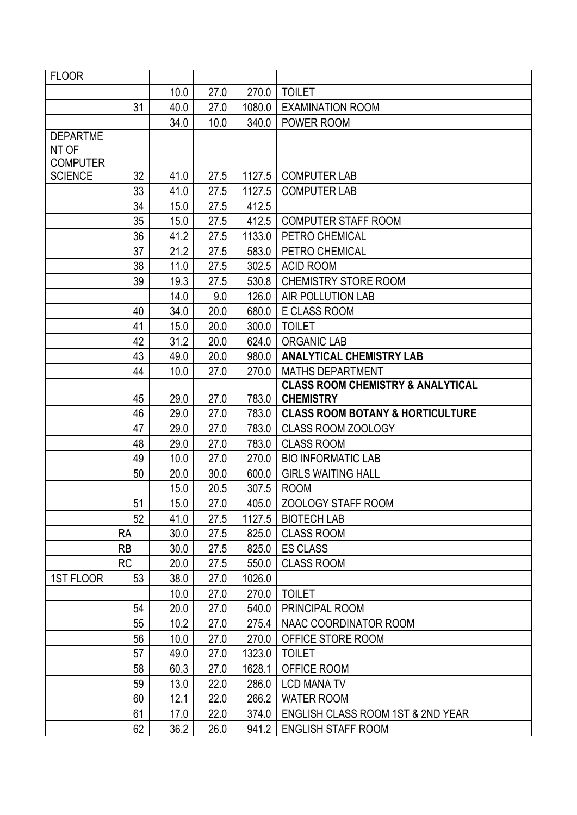| <b>FLOOR</b>    |           |      |      |        |                                              |
|-----------------|-----------|------|------|--------|----------------------------------------------|
|                 |           | 10.0 | 27.0 | 270.0  | <b>TOILET</b>                                |
|                 | 31        | 40.0 | 27.0 | 1080.0 | <b>EXAMINATION ROOM</b>                      |
|                 |           | 34.0 | 10.0 | 340.0  | POWER ROOM                                   |
| <b>DEPARTME</b> |           |      |      |        |                                              |
| NT OF           |           |      |      |        |                                              |
| <b>COMPUTER</b> |           |      |      |        |                                              |
| <b>SCIENCE</b>  | 32        | 41.0 | 27.5 | 1127.5 | <b>COMPUTER LAB</b>                          |
|                 | 33        | 41.0 | 27.5 | 1127.5 | <b>COMPUTER LAB</b>                          |
|                 | 34        | 15.0 | 27.5 | 412.5  |                                              |
|                 | 35        | 15.0 | 27.5 | 412.5  | <b>COMPUTER STAFF ROOM</b>                   |
|                 | 36        | 41.2 | 27.5 | 1133.0 | PETRO CHEMICAL                               |
|                 | 37        | 21.2 | 27.5 | 583.0  | PETRO CHEMICAL                               |
|                 | 38        | 11.0 | 27.5 | 302.5  | <b>ACID ROOM</b>                             |
|                 | 39        | 19.3 | 27.5 | 530.8  | <b>CHEMISTRY STORE ROOM</b>                  |
|                 |           | 14.0 | 9.0  | 126.0  | <b>AIR POLLUTION LAB</b>                     |
|                 | 40        | 34.0 | 20.0 | 680.0  | <b>E CLASS ROOM</b>                          |
|                 | 41        | 15.0 | 20.0 | 300.0  | <b>TOILET</b>                                |
|                 | 42        | 31.2 | 20.0 | 624.0  | <b>ORGANIC LAB</b>                           |
|                 | 43        | 49.0 | 20.0 | 980.0  | <b>ANALYTICAL CHEMISTRY LAB</b>              |
|                 | 44        | 10.0 | 27.0 | 270.0  | <b>MATHS DEPARTMENT</b>                      |
|                 |           |      |      |        | <b>CLASS ROOM CHEMISTRY &amp; ANALYTICAL</b> |
|                 | 45        | 29.0 | 27.0 | 783.0  | <b>CHEMISTRY</b>                             |
|                 | 46        | 29.0 | 27.0 | 783.0  | <b>CLASS ROOM BOTANY &amp; HORTICULTURE</b>  |
|                 | 47        | 29.0 | 27.0 | 783.0  | <b>CLASS ROOM ZOOLOGY</b>                    |
|                 | 48        | 29.0 | 27.0 | 783.0  | <b>CLASS ROOM</b>                            |
|                 | 49        | 10.0 | 27.0 | 270.0  | <b>BIO INFORMATIC LAB</b>                    |
|                 | 50        | 20.0 | 30.0 | 600.0  | <b>GIRLS WAITING HALL</b>                    |
|                 |           | 15.0 | 20.5 | 307.5  | <b>ROOM</b>                                  |
|                 | 51        | 15.0 | 27.0 | 405.0  | <b>ZOOLOGY STAFF ROOM</b>                    |
|                 | 52        | 41.0 | 27.5 | 1127.5 | <b>BIOTECH LAB</b>                           |
|                 | <b>RA</b> | 30.0 | 27.5 | 825.0  | <b>CLASS ROOM</b>                            |
|                 | <b>RB</b> | 30.0 | 27.5 | 825.0  | <b>ES CLASS</b>                              |
|                 | <b>RC</b> | 20.0 | 27.5 | 550.0  | <b>CLASS ROOM</b>                            |
| 1ST FLOOR       | 53        | 38.0 | 27.0 | 1026.0 |                                              |
|                 |           | 10.0 | 27.0 | 270.0  | <b>TOILET</b>                                |
|                 | 54        | 20.0 | 27.0 | 540.0  | PRINCIPAL ROOM                               |
|                 | 55        | 10.2 | 27.0 | 275.4  | NAAC COORDINATOR ROOM                        |
|                 | 56        | 10.0 | 27.0 | 270.0  | OFFICE STORE ROOM                            |
|                 | 57        | 49.0 | 27.0 | 1323.0 | <b>TOILET</b>                                |
|                 | 58        | 60.3 | 27.0 | 1628.1 | OFFICE ROOM                                  |
|                 | 59        | 13.0 | 22.0 | 286.0  | <b>LCD MANA TV</b>                           |
|                 | 60        | 12.1 | 22.0 | 266.2  | <b>WATER ROOM</b>                            |
|                 | 61        | 17.0 | 22.0 | 374.0  | ENGLISH CLASS ROOM 1ST & 2ND YEAR            |
|                 | 62        | 36.2 | 26.0 | 941.2  | <b>ENGLISH STAFF ROOM</b>                    |